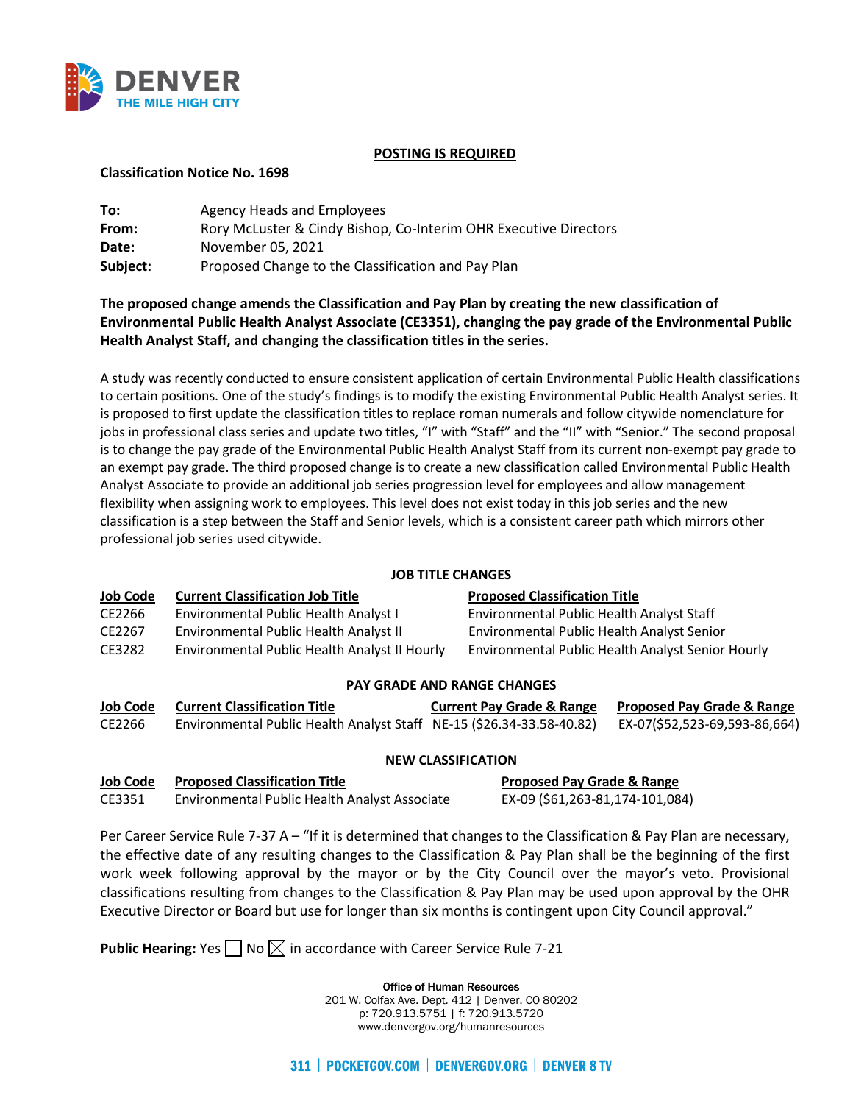

## **POSTING IS REQUIRED**

### **Classification Notice No. 1698**

| To:      | Agency Heads and Employees                                       |
|----------|------------------------------------------------------------------|
| From:    | Rory McLuster & Cindy Bishop, Co-Interim OHR Executive Directors |
| Date:    | November 05, 2021                                                |
| Subject: | Proposed Change to the Classification and Pay Plan               |

# **The proposed change amends the Classification and Pay Plan by creating the new classification of Environmental Public Health Analyst Associate (CE3351), changing the pay grade of the Environmental Public Health Analyst Staff, and changing the classification titles in the series.**

A study was recently conducted to ensure consistent application of certain Environmental Public Health classifications to certain positions. One of the study's findings is to modify the existing Environmental Public Health Analyst series. It is proposed to first update the classification titles to replace roman numerals and follow citywide nomenclature for jobs in professional class series and update two titles, "I" with "Staff" and the "II" with "Senior." The second proposal is to change the pay grade of the Environmental Public Health Analyst Staff from its current non-exempt pay grade to an exempt pay grade. The third proposed change is to create a new classification called Environmental Public Health Analyst Associate to provide an additional job series progression level for employees and allow management flexibility when assigning work to employees. This level does not exist today in this job series and the new classification is a step between the Staff and Senior levels, which is a consistent career path which mirrors other professional job series used citywide.

# **JOB TITLE CHANGES**

| <b>Job Code</b> | <b>Current Classification Job Title</b>       | <b>Proposed Classification Title</b>              |
|-----------------|-----------------------------------------------|---------------------------------------------------|
| CE2266          | Environmental Public Health Analyst I         | Environmental Public Health Analyst Staff         |
| CE2267          | Environmental Public Health Analyst II        | Environmental Public Health Analyst Senior        |
| CE3282          | Environmental Public Health Analyst II Hourly | Environmental Public Health Analyst Senior Hourly |

### **PAY GRADE AND RANGE CHANGES**

| <b>Job Code</b> | <b>Current Classification Title</b>                                   | <b>Current Pay Grade &amp; Range</b> | <b>Proposed Pay Grade &amp; Range</b> |
|-----------------|-----------------------------------------------------------------------|--------------------------------------|---------------------------------------|
| CE2266          | Environmental Public Health Analyst Staff NE-15 (\$26.34-33.58-40.82) |                                      | EX-07(\$52,523-69,593-86,664)         |

### **NEW CLASSIFICATION**

### **Job Code Proposed Classification Title Proposed Pay Grade & Range**

CE3351 Environmental Public Health Analyst Associate EX-09 (\$61,263-81,174-101,084)

Per Career Service Rule 7-37 A – "If it is determined that changes to the Classification & Pay Plan are necessary, the effective date of any resulting changes to the Classification & Pay Plan shall be the beginning of the first work week following approval by the mayor or by the City Council over the mayor's veto. Provisional classifications resulting from changes to the Classification & Pay Plan may be used upon approval by the OHR Executive Director or Board but use for longer than six months is contingent upon City Council approval."

**Public Hearing:** Yes  $\Box$  No  $\boxtimes$  in accordance with Career Service Rule 7-21

Office of Human Resources 201 W. Colfax Ave. Dept. 412 | Denver, CO 80202 p: 720.913.5751 | f: 720.913.5720 www.denvergov.org/humanresources